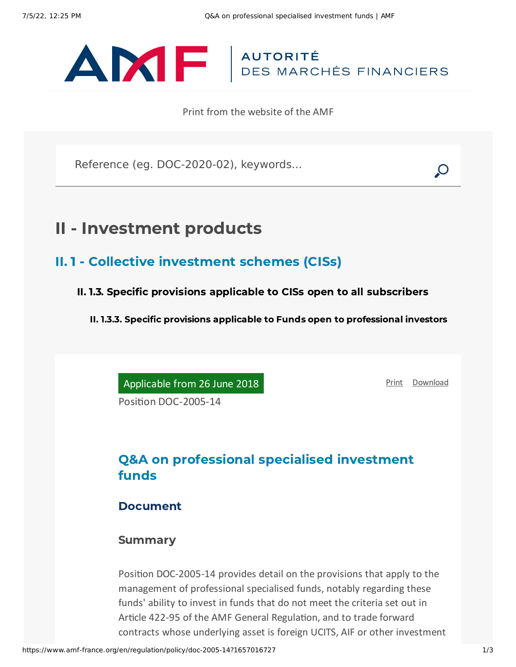# ANTE AUTORITÉ

Print from the website of the AMF

Reference (eg. DOC-2020-02), keywords...

## II - Investment products

- II. 1 Collective investment schemes (CISs)
	- II. 1.3. Specific provisions applicable to CISs open to all subscribers

II. 1.3.3. Specific provisions applicable to Funds open to professional investors

Applicable from 26 June 2018

[Print](javascript:window.print()) [Download](https://www.amf-france.org/sites/default/files/pdf/62838/en/Q%26A_on_professional_specialised_investment_funds.pdf?1657016728)

Position DOC-2005-14

## Q&A on professional specialised investment funds

#### Document

#### **Summary**

Position DOC-2005-14 provides detail on the provisions that apply to the management of professional specialised funds, notably regarding these funds' ability to invest in funds that do not meet the criteria set out in Article 422-95 of the AMF General Regulation, and to trade forward contracts whose underlying asset is foreign UCITS, AIF or other investment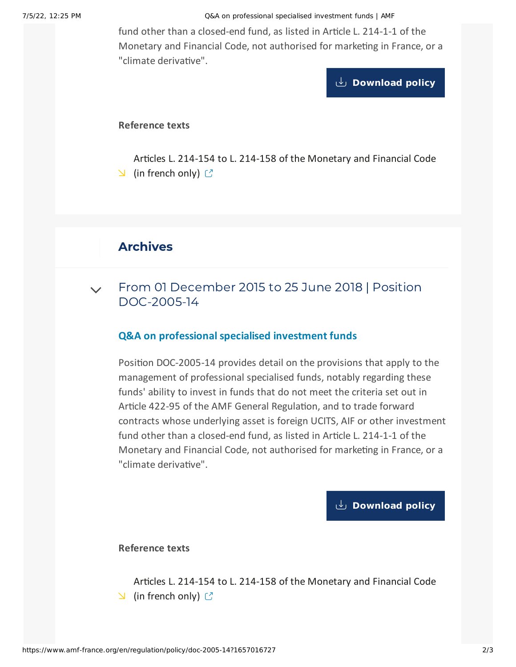7/5/22, 12:25 PM Q&A on professional specialised investment funds | AMF

fund other than a closed-end fund, as listed in Article L. 214-1-1 of the Monetary and Financial Code, not authorised for marketing in France, or a "climate derivative".

**[Download](https://www.amf-france.org/sites/default/files/doctrine/Position/Q%26A%20on%20professional%20specialised%20investment%20funds.pdf) policy**

#### **Reference texts**

Articles L. 214-154 to L. 214-158 of the [Monetary](http://www.legifrance.gouv.fr/affichCode.do;jsessionid=52BD4DFA74D6C38EB202E79529BCE7C3.tpdila19v_3?idSectionTA=LEGISCTA000027780041&cidTexte=LEGITEXT000006072026&dateTexte=20151119) and Financial Code  $\Box$  (in french only)  $\Box$ 

### Archives

From 01 December 2015 to 25 June 2018 | Position [DOC-2005-14](#page-1-0)  $\vee$ 

#### **Q&A on professional specialised investment funds**

<span id="page-1-0"></span>Position DOC-2005-14 provides detail on the provisions that apply to the management of professional specialised funds, notably regarding these funds' ability to invest in funds that do not meet the criteria set out in Article 422-95 of the AMF General Regulation, and to trade forward contracts whose underlying asset is foreign UCITS, AIF or other investment fund other than a closed-end fund, as listed in Article L. 214-1-1 of the Monetary and Financial Code, not authorised for marketing in France, or a "climate derivative".

**[Download](https://www.amf-france.org/sites/default/files/private/2020-11/20151201-qa-on-professional-specialised-investment-funds-1.pdf) policy**

**Reference texts**

Articles L. 214-154 to L. 214-158 of the [Monetary](http://www.legifrance.gouv.fr/affichCode.do;jsessionid=52BD4DFA74D6C38EB202E79529BCE7C3.tpdila19v_3?idSectionTA=LEGISCTA000027780041&cidTexte=LEGITEXT000006072026&dateTexte=20151119) and Financial Code  $\Box$  (in french only)  $\Box$